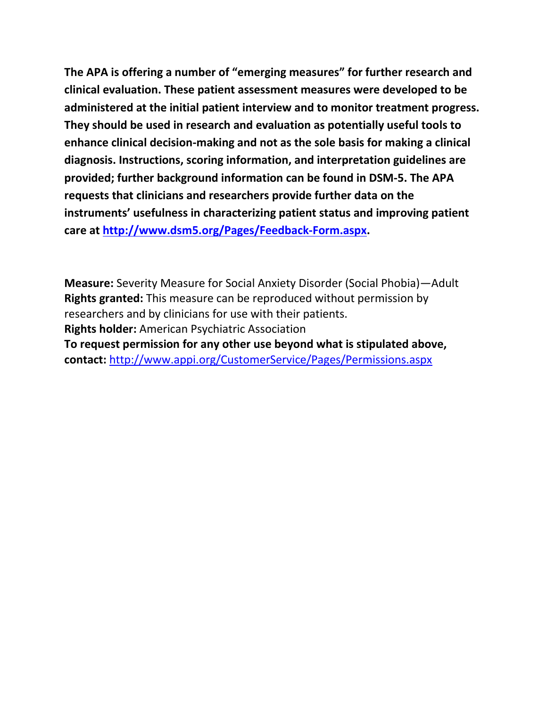**The APA is offering a number of "emerging measures" for further research and clinical evaluation. These patient assessment measures were developed to be administered at the initial patient interview and to monitor treatment progress. They should be used in research and evaluation as potentially useful tools to enhance clinical decision-making and not as the sole basis for making a clinical diagnosis. Instructions, scoring information, and interpretation guidelines are provided; further background information can be found in DSM-5. The APA requests that clinicians and researchers provide further data on the instruments' usefulness in characterizing patient status and improving patient care at [http://www.dsm5.org/Pages/Feedback-Form.aspx.](http://www.dsm5.org/Pages/Feedback-Form.aspx)**

**Measure:** Severity Measure for Social Anxiety Disorder (Social Phobia)—Adult **Rights granted:** This measure can be reproduced without permission by researchers and by clinicians for use with their patients. **Rights holder:** American Psychiatric Association **To request permission for any other use beyond what is stipulated above, contact:** <http://www.appi.org/CustomerService/Pages/Permissions.aspx>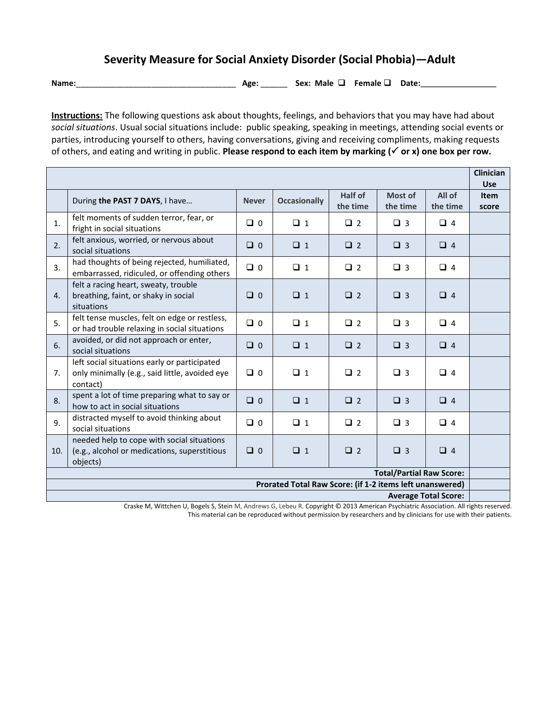## **Severity Measure for Social Anxiety Disorder (Social Phobia)—Adult**

**Name:**\_\_\_\_\_\_\_\_\_\_\_\_\_\_\_\_\_\_\_\_\_\_\_\_\_\_\_\_\_\_\_\_\_\_\_\_ **Age:** \_\_\_\_\_\_ **Sex: Male Female Date:\_\_\_\_\_\_\_\_\_\_\_\_\_\_\_\_\_**

**Instructions:** The following questions ask about thoughts, feelings, and behaviors that you may have had about *social situations*. Usual social situations include: public speaking, speaking in meetings, attending social events or parties, introducing yourself to others, having conversations, giving and receiving compliments, making requests of others, and eating and writing in public. **Please respond to each item by marking ( or x) one box per row.** 

|                                                                                                                                       |                                                                                                            |              |                     |                     |                     |                    | <b>Clinician</b><br><b>Use</b> |
|---------------------------------------------------------------------------------------------------------------------------------------|------------------------------------------------------------------------------------------------------------|--------------|---------------------|---------------------|---------------------|--------------------|--------------------------------|
|                                                                                                                                       | During the PAST 7 DAYS, I have                                                                             | <b>Never</b> | <b>Occasionally</b> | Half of<br>the time | Most of<br>the time | All of<br>the time | <b>Item</b><br>score           |
| 1.                                                                                                                                    | felt moments of sudden terror, fear, or<br>fright in social situations                                     | $\Box$ 0     | $\Box$ 1            | $\Box$ 2            | $\Box$ 3            | $\Box$ 4           |                                |
| 2.                                                                                                                                    | felt anxious, worried, or nervous about<br>social situations                                               | $\Box$ 0     | $\Box$ 1            | $\Box$ 2            | $\Box$ 3            | $\Box$ 4           |                                |
| 3.                                                                                                                                    | had thoughts of being rejected, humiliated,<br>embarrassed, ridiculed, or offending others                 | $\Box$ 0     | $\Box$ 1            | $\Box$ 2            | $\Box$ 3            | $\Box$ 4           |                                |
| 4.                                                                                                                                    | felt a racing heart, sweaty, trouble<br>breathing, faint, or shaky in social<br>situations                 | $\Box$ 0     | $\Box$ 1            | $\Box$ 2            | $\Box$ 3            | $\Box$ 4           |                                |
| 5.                                                                                                                                    | felt tense muscles, felt on edge or restless,<br>or had trouble relaxing in social situations              | $\Box$ 0     | $\Box$ 1            | $\Box$ 2            | $\Box$ 3            | $\Box$ 4           |                                |
| 6.                                                                                                                                    | avoided, or did not approach or enter,<br>social situations                                                | $\Box$ 0     | $\Box$ 1            | $\Box$ 2            | $\Box$ 3            | $\Box$ 4           |                                |
| 7.                                                                                                                                    | left social situations early or participated<br>only minimally (e.g., said little, avoided eye<br>contact) | $\Box$ 0     | $\Box$ 1            | $\Box$ 2            | $\Box$ 3            | $\Box$ 4           |                                |
| 8.                                                                                                                                    | spent a lot of time preparing what to say or<br>how to act in social situations                            | $\Box$ 0     | $\Box$ 1            | $\Box$ 2            | $\Box$ 3            | $\Box$ 4           |                                |
| 9.                                                                                                                                    | distracted myself to avoid thinking about<br>social situations                                             | $\Box$ 0     | $\Box$ 1            | $\Box$ 2            | $\Box$ 3            | $\Box$ 4           |                                |
| 10.                                                                                                                                   | needed help to cope with social situations<br>(e.g., alcohol or medications, superstitious<br>objects)     | $\Box$ 0     | $\Box$ 1            | $\Box$ 2            | $\Box$ 3            | $\Box$ 4           |                                |
| <b>Total/Partial Raw Score:</b>                                                                                                       |                                                                                                            |              |                     |                     |                     |                    |                                |
| Prorated Total Raw Score: (if 1-2 items left unanswered)<br><b>Average Total Score:</b>                                               |                                                                                                            |              |                     |                     |                     |                    |                                |
| Cracke M, Wittshen U, Rogels S, Stoin M, Androuse G, Lobour R, Convright @ 2012 American Beychiatric Association, All rights reserved |                                                                                                            |              |                     |                     |                     |                    |                                |

Craske M, Wittchen U, Bogels S, Stein M, Andrews G, Lebeu R. Copyright © 2013 American Psychiatric Association. All rights reserved. This material can be reproduced without permission by researchers and by clinicians for use with their patients.